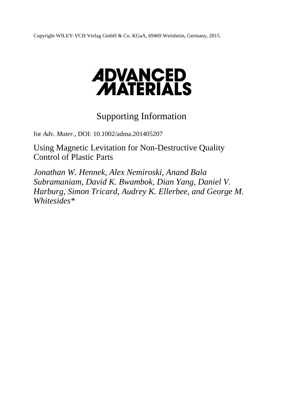Copyright WILEY-VCH Verlag GmbH & Co. KGaA, 69469 Weinheim, Germany, 2015.

# **ADVANCED<br>MATERIALS**

# Supporting Information

for *Adv. Mater.,* DOI: 10.1002/adma.201405207

Using Magnetic Levitation for Non-Destructive Quality Control of Plastic Parts

*Jonathan W. Hennek, Alex Nemiroski, Anand Bala Subramaniam, David K. Bwambok, Dian Yang, Daniel V. Harburg, Simon Tricard, Audrey K. Ellerbee, and George M. Whitesides\**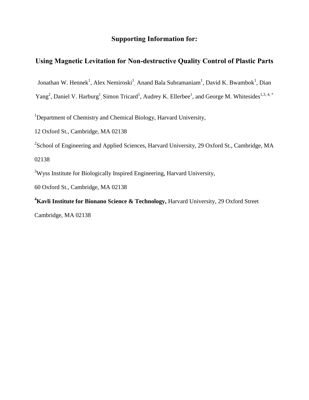## **Supporting Information for:**

# **Using Magnetic Levitation for Non-destructive Quality Control of Plastic Parts**

Jonathan W. Hennek<sup>1</sup>, Alex Nemiroski<sup>1</sup>, Anand Bala Subramaniam<sup>1</sup>, David K. Bwambok<sup>1</sup>, Dian

Yang<sup>2</sup>, Daniel V. Harburg<sup>1</sup>, Simon Tricard<sup>1</sup>, Audrey K. Ellerbee<sup>1</sup>, and George M. Whitesides<sup>1,3,4,\*</sup>

<sup>1</sup>Department of Chemistry and Chemical Biology, Harvard University,

12 Oxford St., Cambridge, MA 02138

<sup>2</sup> School of Engineering and Applied Sciences, Harvard University, 29 Oxford St., Cambridge, MA

02138

<sup>3</sup>Wyss Institute for Biologically Inspired Engineering, Harvard University,

60 Oxford St., Cambridge, MA 02138

**<sup>4</sup>Kavli Institute for Bionano Science & Technology,** Harvard University, 29 Oxford Street Cambridge, MA 02138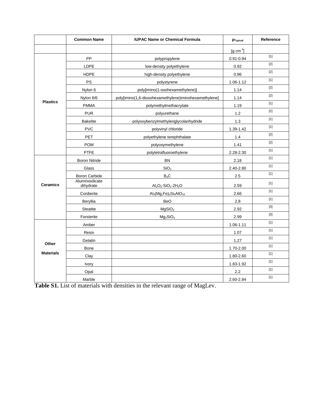|                           | <b>Common Name</b>           | <b>IUPAC Name or Chemical Formula</b>                          | PTypical              | Reference                                                                                                                                                                                                                           |
|---------------------------|------------------------------|----------------------------------------------------------------|-----------------------|-------------------------------------------------------------------------------------------------------------------------------------------------------------------------------------------------------------------------------------|
|                           |                              |                                                                | $[g \text{ cm}^{-3}]$ |                                                                                                                                                                                                                                     |
| <b>Plastics</b>           | <b>PP</b>                    | polypropylene                                                  | $0.91 - 0.94$         | $[1]$                                                                                                                                                                                                                               |
|                           | <b>LDPE</b>                  | low-density polyethylene                                       | 0.92                  | $[2]$                                                                                                                                                                                                                               |
|                           | <b>HDPE</b>                  | high-density polyethylene                                      | 0.96                  | $[2]$                                                                                                                                                                                                                               |
|                           | <b>PS</b>                    | polystyrene                                                    | 1.06-1.12             | $[1]$                                                                                                                                                                                                                               |
|                           | Nylon 6                      | poly[imino(1-oxohexamethylene)]                                | 1.14                  | $[2]$                                                                                                                                                                                                                               |
|                           | Nylon 6/6                    | poly[imino(1,6-dioxohexamethylene)iminohexamethylene]          | 1.14                  | $[2]$                                                                                                                                                                                                                               |
|                           | <b>PMMA</b>                  | polymethylmethacrylate                                         | 1.19                  | $[1]$                                                                                                                                                                                                                               |
|                           | <b>PUR</b>                   | polyurethane                                                   | 1.2                   | $[2]$                                                                                                                                                                                                                               |
|                           | <b>Bakelite</b>              | polyoxybenzylmethylenglycolanhydride                           | 1.3                   | $[1]$                                                                                                                                                                                                                               |
|                           | <b>PVC</b>                   | polyvinyl chloride                                             | 1.39-1.42             | $[1]$                                                                                                                                                                                                                               |
|                           | <b>PET</b>                   | polyethylene terephthalate                                     | 1.4                   |                                                                                                                                                                                                                                     |
|                           | <b>POM</b>                   | polyoxymethylene                                               | 1.41                  | $[2]$                                                                                                                                                                                                                               |
|                           | <b>PTFE</b>                  | polytetrafluoroethylene                                        | 2.28-2.30             | $[1]$                                                                                                                                                                                                                               |
| <b>Ceramics</b>           | <b>Boron Nitride</b>         | <b>BN</b>                                                      | 2.18                  | $[1]$                                                                                                                                                                                                                               |
|                           | Glass                        | SiO <sub>2</sub>                                               | 2.40-2.80             | $[1]$                                                                                                                                                                                                                               |
|                           | <b>Boron Carbide</b>         | $B_4C$                                                         | 2.5                   | $[1] % \centering \includegraphics[width=0.9\columnwidth]{figures/fig_10.pdf} \caption{The graph of the top of the top of the top of the top of the right. The left is the number of the top of the right.} \label{fig:fig_10.pdf}$ |
|                           | Aluminosilicate<br>dihydrate | $Al_2O_3$ · SiO <sub>2</sub> 2H <sub>2</sub> O                 | 2.59                  | $[1]$                                                                                                                                                                                                                               |
|                           | Cordierite                   | $\text{Al}_3(\text{Mg},\text{Fe})_2\text{Si}_5\text{AlO}_{18}$ | 2.66                  | $[1]$                                                                                                                                                                                                                               |
|                           | Beryllia                     | <b>BeO</b>                                                     | 2.8                   | $[1]$                                                                                                                                                                                                                               |
|                           | <b>Steatite</b>              | MgSiO <sub>3</sub>                                             | 2.92                  | $[3]$                                                                                                                                                                                                                               |
|                           | Forsterite                   | $Mg_2SiO_4$                                                    | 2.99                  | $[3]$                                                                                                                                                                                                                               |
| Other<br><b>Materials</b> | Amber                        |                                                                | $1.06 - 1.11$         | $[1]$                                                                                                                                                                                                                               |
|                           | Resin                        |                                                                | 1.07                  | $[1]$                                                                                                                                                                                                                               |
|                           | Gelatin                      |                                                                | 1.27                  | $[1]$                                                                                                                                                                                                                               |
|                           | <b>Bone</b>                  |                                                                | 1.70-2.00             | $[1]$                                                                                                                                                                                                                               |
|                           | Clay                         |                                                                | 1.80-2.60             | $[1]$                                                                                                                                                                                                                               |
|                           | Ivory                        |                                                                | 1.83-1.92             | $[1]$                                                                                                                                                                                                                               |
|                           | Opal                         |                                                                | 2.2                   | $[1]$                                                                                                                                                                                                                               |
|                           | Marble                       |                                                                | 2.60-2.84             | $[1]$                                                                                                                                                                                                                               |

**Table S1.** List of materials with densities in the relevant range of MagLev.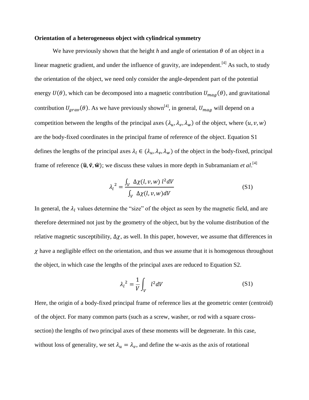#### **Orientation of a heterogeneous object with cylindrical symmetry**

We have previously shown that the height *h* and angle of orientation  $\theta$  of an object in a linear magnetic gradient, and under the influence of gravity, are independent.<sup>[4]</sup> As such, to study the orientation of the object, we need only consider the angle-dependent part of the potential energy  $U(\theta)$ , which can be decomposed into a magnetic contribution  $U_{maq}(\theta)$ , and gravitational contribution  $U_{grav}(\theta)$ . As we have previously shown<sup>[4]</sup>, in general,  $U_{mag}$  will depend on a competition between the lengths of the principal axes  $(\lambda_u, \lambda_v, \lambda_w)$  of the object, where  $(u, v, w)$ are the body-fixed coordinates in the principal frame of reference of the object. Equation S1 defines the lengths of the principal axes  $\lambda_l \in (\lambda_u, \lambda_v, \lambda_w)$  of the object in the body-fixed, principal frame of reference  $(\hat{\mathbf{u}}, \hat{\mathbf{v}}, \hat{\mathbf{w}})$ ; we discuss these values in more depth in Subramaniam *et al*.<sup>[4]</sup>

$$
\lambda_l^2 = \frac{\int_V \Delta \chi(l, v, w) l^2 dV}{\int_V \Delta \chi(l, v, w) dV}
$$
 (S1)

In general, the  $\lambda_l$  values determine the "size" of the object as seen by the magnetic field, and are therefore determined not just by the geometry of the object, but by the volume distribution of the relative magnetic susceptibility,  $\Delta \chi$ , as well. In this paper, however, we assume that differences in  $\chi$  have a negligible effect on the orientation, and thus we assume that it is homogenous throughout the object, in which case the lengths of the principal axes are reduced to Equation S2.

$$
\lambda_l^2 = \frac{1}{V} \int_V l^2 dV \tag{S1}
$$

Here, the origin of a body-fixed principal frame of reference lies at the geometric center (centroid) of the object. For many common parts (such as a screw, washer, or rod with a square crosssection) the lengths of two principal axes of these moments will be degenerate. In this case, without loss of generality, we set  $\lambda_u = \lambda_v$ , and define the w-axis as the axis of rotational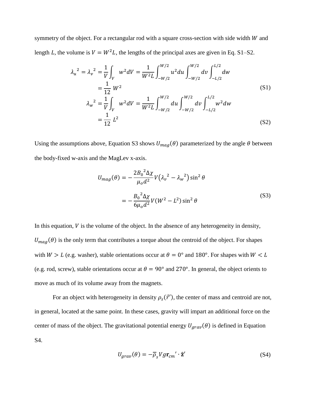symmetry of the object. For a rectangular rod with a square cross-section with side width  $W$  and length L, the volume is  $V = W^2 L$ , the lengths of the principal axes are given in Eq. S1–S2.

$$
\lambda_{u}^{2} = \lambda_{v}^{2} = \frac{1}{V} \int_{V} w^{2} dV = \frac{1}{W^{2} L} \int_{-W/2}^{W/2} u^{2} du \int_{-W/2}^{W/2} dv \int_{-L/2}^{L/2} dw
$$
  
\n
$$
= \frac{1}{12} W^{2}
$$
\n
$$
\lambda_{w}^{2} = \frac{1}{V} \int_{V} w^{2} dV = \frac{1}{W^{2} L} \int_{-W/2}^{W/2} du \int_{-W/2}^{W/2} dv \int_{-L/2}^{L/2} w^{2} dw
$$
\n
$$
= \frac{1}{12} L^{2}
$$
\n(S2)

Using the assumptions above, Equation S3 shows  $U_{mag}(\theta)$  parameterized by the angle  $\theta$  between the body-fixed w-axis and the MagLev x-axis.

$$
U_{mag}(\theta) = -\frac{2B_0^2 \Delta \chi}{\mu_o d^2} V(\lambda_v^2 - \lambda_w^2) \sin^2 \theta
$$
  
= 
$$
-\frac{B_0^2 \Delta \chi}{6\mu_o d^2} V(W^2 - L^2) \sin^2 \theta
$$
 (S3)

In this equation,  $V$  is the volume of the object. In the absence of any heterogeneity in density,  $U_{mag}(\theta)$  is the only term that contributes a torque about the centroid of the object. For shapes with  $W > L$  (e.g. washer), stable orientations occur at  $\theta = 0^{\circ}$  and 180°. For shapes with  $W < L$ (e.g. rod, screw), stable orientations occur at  $\theta = 90^\circ$  and 270°. In general, the object orients to move as much of its volume away from the magnets.

For an object with heterogeneity in density  $\rho_s(\vec{r}')$ , the center of mass and centroid are not, in general, located at the same point. In these cases, gravity will impart an additional force on the center of mass of the object. The gravitational potential energy  $U_{grav}(\theta)$  is defined in Equation S4.

$$
U_{grav}(\theta) = -\overline{\rho}_s V g \mathbf{r}_{cm}' \cdot \hat{\mathbf{z}}'
$$
 (S4)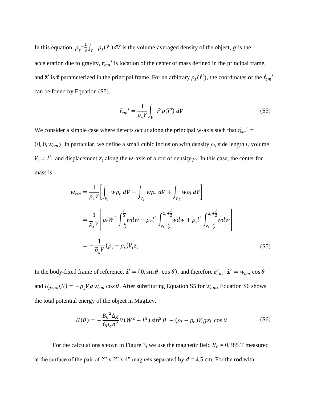In this equation,  $\overline{\rho}_s = \frac{1}{V}$  $\frac{1}{V} \int_V \rho_s(\vec{r}') dV$  is the volume-averaged density of the object, g is the acceleration due to gravity,  $\mathbf{r}_{cm}$ ' is location of the center of mass defined in the principal frame, and  $\hat{z}'$  is  $\hat{z}$  parameterized in the principal frame. For an arbitrary  $\rho_s(\vec{r}')$ , the coordinates of the  $\vec{r}_{cm}'$ can be found by Equation (S5).

$$
\vec{r}_{cm}' = \frac{1}{\overline{\rho}_s V} \int_V \vec{r}' \rho(\vec{r}') dV \tag{S5}
$$

We consider a simple case where defects occur along the principal w-axis such that  $\vec{r}_{cm}' =$  $(0, 0, w_{cm})$ . In particular, we define a small cubic inclusion with density  $\rho_i$ , side length *l*, volume  $V_i = l^3$ , and displacement  $z_i$  along the *w*-axis of a rod of density  $\rho_r$ . In this case, the center for mass is

$$
w_{cm} = \frac{1}{\overline{\rho}_s V} \left[ \int_{V_r} w \rho_r \, dV - \int_{V_i} w \rho_r \, dV + \int_{V_i} w \rho_i \, dV \right]
$$
  
= 
$$
\frac{1}{\overline{\rho}_s V} \left[ \rho_r W^2 \int_{-\frac{L}{2}}^{\frac{L}{2}} w dw - \rho_r l^2 \int_{z_i - \frac{L}{2}}^{z_i + \frac{L}{2}} w dw + \rho_i l^2 \int_{z_i - \frac{L}{2}}^{z_i + \frac{L}{2}} w dw \right]
$$
  
= 
$$
-\frac{1}{\overline{\rho}_s V} (\rho_i - \rho_r) V_i z_i
$$
(S5)

In the body-fixed frame of reference,  $\hat{\mathbf{z}}' = (0, \sin \theta, \cos \theta)$ , and therefore  $\mathbf{r}'_{cm} \cdot \hat{\mathbf{z}}' = w_{cm} \cos \theta$ and  $U_{grav}(\theta) = -\overline{\rho}_s V g w_{cm} \cos \theta$ . After substituting Equation S5 for  $w_{cm}$ , Equation S6 shows the total potential energy of the object in MagLev.

$$
U(\theta) = -\frac{B_0^2 \Delta \chi}{6\mu_o d^2} V(W^2 - L^2) \sin^2 \theta - (\rho_i - \rho_r) V_i g z_i \cos \theta
$$
 (S6)

For the calculations shown in Figure 3, we use the magnetic field  $B_0 = 0.385$  T measured at the surface of the pair of 2" x 2" x 4" magnets separated by  $d = 4.5$  cm. For the rod with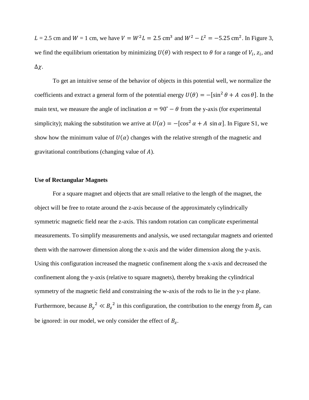$L = 2.5$  cm and  $W = 1$  cm, we have  $V = W^2 L = 2.5$  cm<sup>3</sup> and  $W^2 - L^2 = -5.25$  cm<sup>2</sup>. In Figure 3, we find the equilibrium orientation by minimizing  $U(\theta)$  with respect to  $\theta$  for a range of  $V_i$ ,  $z_i$ , and  $\Delta \chi$ .

To get an intuitive sense of the behavior of objects in this potential well, we normalize the coefficients and extract a general form of the potential energy  $U(\theta) = -[\sin^2 \theta + A \cos \theta]$ . In the main text, we measure the angle of inclination  $\alpha = 90^\circ - \theta$  from the y-axis (for experimental simplicity); making the substitution we arrive at  $U(\alpha) = -[\cos^2 \alpha + A \sin \alpha]$ . In Figure S1, we show how the minimum value of  $U(\alpha)$  changes with the relative strength of the magnetic and gravitational contributions (changing value of  $A$ ).

#### **Use of Rectangular Magnets**

For a square magnet and objects that are small relative to the length of the magnet, the object will be free to rotate around the z-axis because of the approximately cylindrically symmetric magnetic field near the z-axis. This random rotation can complicate experimental measurements. To simplify measurements and analysis, we used rectangular magnets and oriented them with the narrower dimension along the x-axis and the wider dimension along the y-axis. Using this configuration increased the magnetic confinement along the x-axis and decreased the confinement along the y-axis (relative to square magnets), thereby breaking the cylindrical symmetry of the magnetic field and constraining the w-axis of the rods to lie in the y-z plane. Furthermore, because  $B_y^2 \ll B_z^2$  in this configuration, the contribution to the energy from  $B_y$  can be ignored: in our model, we only consider the effect of  $B_z$ .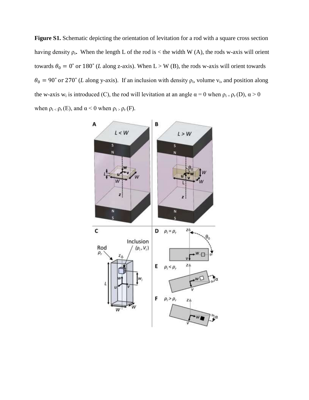Figure S1. Schematic depicting the orientation of levitation for a rod with a square cross section having density  $\rho_r$ . When the length L of the rod is  $\lt$  the width W (A), the rods w-axis will orient towards  $\theta_0 = 0^\circ$  or 180° (*L* along z-axis). When L > W (B), the rods w-axis will orient towards  $\theta_0 = 90^\circ$  or 270° (*L* along y-axis). If an inclusion with density  $\rho_i$ , volume  $v_i$ , and position along the w-axis w<sub>i</sub> is introduced (C), the rod will levitation at an angle  $\alpha = 0$  when  $\rho_{i} = \rho_{r}(D)$ ,  $\alpha > 0$ when  $\rho_i \le \rho_r(E)$ , and  $\alpha \le 0$  when  $\rho_i \ge \rho_r(F)$ .

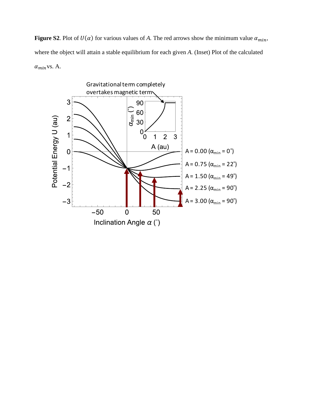**Figure S2.** Plot of  $U(\alpha)$  for various values of *A*. The red arrows show the minimum value  $\alpha_{min}$ , where the object will attain a stable equilibrium for each given *A.* (Inset) Plot of the calculated  $\alpha_{min}$ vs. A.

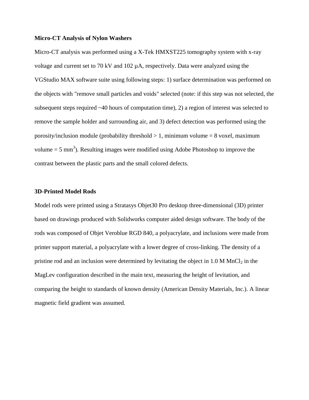#### **Micro-CT Analysis of Nylon Washers**

Micro-CT analysis was performed using a X-Tek HMXST225 tomography system with x-ray voltage and current set to 70 kV and 102 µA, respectively. Data were analyzed using the VGStudio MAX software suite using following steps: 1) surface determination was performed on the objects with "remove small particles and voids" selected (note: if this step was not selected, the subsequent steps required ~40 hours of computation time), 2) a region of interest was selected to remove the sample holder and surrounding air, and 3) defect detection was performed using the porosity/inclusion module (probability threshold  $> 1$ , minimum volume  $= 8$  voxel, maximum volume  $= 5 \text{ mm}^3$ ). Resulting images were modified using Adobe Photoshop to improve the contrast between the plastic parts and the small colored defects.

#### **3D-Printed Model Rods**

Model rods were printed using a Stratasys Objet30 Pro desktop three-dimensional (3D) printer based on drawings produced with Solidworks computer aided design software. The body of the rods was composed of Objet Veroblue RGD 840, a polyacrylate, and inclusions were made from printer support material, a polyacrylate with a lower degree of cross-linking. The density of a pristine rod and an inclusion were determined by levitating the object in  $1.0 M MnCl<sub>2</sub>$  in the MagLev configuration described in the main text, measuring the height of levitation, and comparing the height to standards of known density (American Density Materials, Inc.). A linear magnetic field gradient was assumed.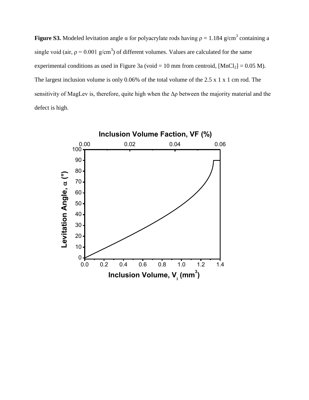**Figure S3.** Modeled levitation angle  $\alpha$  for polyacrylate rods having  $\rho = 1.184$  g/cm<sup>3</sup> containing a single void (air,  $p = 0.001$  g/cm<sup>3</sup>) of different volumes. Values are calculated for the same experimental conditions as used in Figure 3a (void = 10 mm from centroid,  $[MnCl<sub>2</sub>] = 0.05 M$ ). The largest inclusion volume is only 0.06% of the total volume of the 2.5 x 1 x 1 cm rod. The sensitivity of MagLev is, therefore, quite high when the Δρ between the majority material and the defect is high.

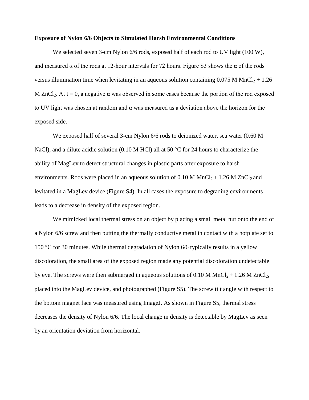#### **Exposure of Nylon 6/6 Objects to Simulated Harsh Environmental Conditions**

We selected seven 3-cm Nylon 6/6 rods, exposed half of each rod to UV light (100 W), and measured  $\alpha$  of the rods at 12-hour intervals for 72 hours. Figure S3 shows the  $\alpha$  of the rods versus illumination time when levitating in an aqueous solution containing  $0.075$  M MnCl<sub>2</sub> + 1.26 M ZnCl<sub>2</sub>. At t = 0, a negative  $\alpha$  was observed in some cases because the portion of the rod exposed to UV light was chosen at random and α was measured as a deviation above the horizon for the exposed side.

We exposed half of several 3-cm Nylon 6/6 rods to deionized water, sea water (0.60 M NaCl), and a dilute acidic solution (0.10 M HCl) all at 50 °C for 24 hours to characterize the ability of MagLev to detect structural changes in plastic parts after exposure to harsh environments. Rods were placed in an aqueous solution of 0.10 M  $MnCl_2 + 1.26$  M  $ZnCl_2$  and levitated in a MagLev device (Figure S4). In all cases the exposure to degrading environments leads to a decrease in density of the exposed region.

We mimicked local thermal stress on an object by placing a small metal nut onto the end of a Nylon 6/6 screw and then putting the thermally conductive metal in contact with a hotplate set to 150 °C for 30 minutes. While thermal degradation of Nylon 6/6 typically results in a yellow discoloration, the small area of the exposed region made any potential discoloration undetectable by eye. The screws were then submerged in aqueous solutions of 0.10 M MnCl<sub>2</sub> + 1.26 M ZnCl<sub>2</sub>, placed into the MagLev device, and photographed (Figure S5). The screw tilt angle with respect to the bottom magnet face was measured using ImageJ. As shown in Figure S5, thermal stress decreases the density of Nylon 6/6. The local change in density is detectable by MagLev as seen by an orientation deviation from horizontal.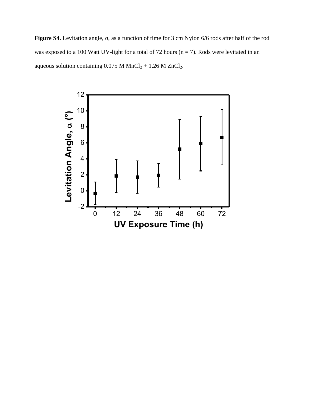**Figure S4.** Levitation angle, α, as a function of time for 3 cm Nylon 6/6 rods after half of the rod was exposed to a 100 Watt UV-light for a total of 72 hours ( $n = 7$ ). Rods were levitated in an aqueous solution containing  $0.075$  M MnCl<sub>2</sub> + 1.26 M ZnCl<sub>2</sub>.

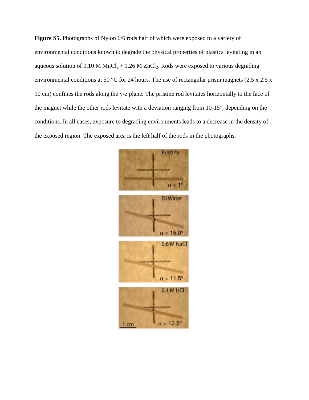**Figure S5.** Photographs of Nylon 6/6 rods half of which were exposed to a variety of environmental conditions known to degrade the physical properties of plastics levitating in an aqueous solution of 0.10 M  $MnCl<sub>2</sub> + 1.26$  M  $ZnCl<sub>2</sub>$ . Rods were exposed to various degrading environmental conditions at 50 °C for 24 hours. The use of rectangular prism magnets (2.5 x 2.5 x 10 cm) confines the rods along the y-z plane. The pristine rod levitates horizontally to the face of the magnet while the other rods levitate with a deviation ranging from 10-15°, depending on the conditions. In all cases, exposure to degrading environments leads to a decrease in the density of the exposed region. The exposed area is the left half of the rods in the photographs.

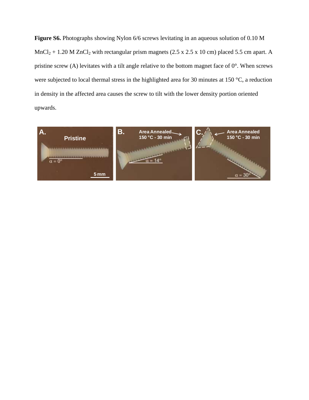**Figure S6.** Photographs showing Nylon 6/6 screws levitating in an aqueous solution of 0.10 M  $MnCl<sub>2</sub> + 1.20 M ZnCl<sub>2</sub> with rectangular prism magnets (2.5 x 2.5 x 10 cm) placed 5.5 cm apart. A$ pristine screw (A) levitates with a tilt angle relative to the bottom magnet face of 0°. When screws were subjected to local thermal stress in the highlighted area for 30 minutes at 150 °C, a reduction in density in the affected area causes the screw to tilt with the lower density portion oriented upwards.

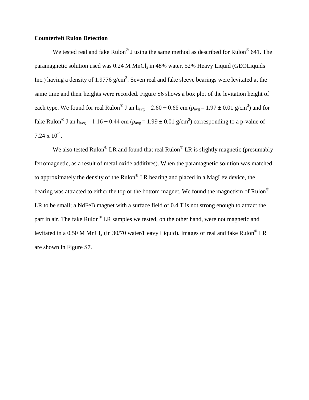#### **Counterfeit Rulon Detection**

We tested real and fake Rulon<sup>®</sup> J using the same method as described for Rulon<sup>®</sup> 641. The paramagnetic solution used was  $0.24$  M MnCl<sub>2</sub> in 48% water, 52% Heavy Liquid (GEOLiquids Inc.) having a density of 1.9776  $g/cm<sup>3</sup>$ . Seven real and fake sleeve bearings were levitated at the same time and their heights were recorded. Figure S6 shows a box plot of the levitation height of each type. We found for real Rulon<sup>®</sup> J an h<sub>avg</sub> = 2.60  $\pm$  0.68 cm ( $\rho_{avg}$  = 1.97  $\pm$  0.01 g/cm<sup>3</sup>) and for fake Rulon<sup>®</sup> J an h<sub>avg</sub> = 1.16 ± 0.44 cm ( $\rho_{avg}$  = 1.99 ± 0.01 g/cm<sup>3</sup>) corresponding to a p-value of  $7.24 \times 10^{-4}$ .

We also tested Rulon<sup>®</sup> LR and found that real Rulon<sup>®</sup> LR is slightly magnetic (presumably ferromagnetic, as a result of metal oxide additives). When the paramagnetic solution was matched to approximately the density of the Rulon<sup>®</sup> LR bearing and placed in a MagLev device, the bearing was attracted to either the top or the bottom magnet. We found the magnetism of Rulon<sup>®</sup> LR to be small; a NdFeB magnet with a surface field of 0.4 T is not strong enough to attract the part in air. The fake Rulon<sup>®</sup> LR samples we tested, on the other hand, were not magnetic and levitated in a 0.50 M MnCl<sub>2</sub> (in 30/70 water/Heavy Liquid). Images of real and fake Rulon<sup>®</sup> LR are shown in Figure S7.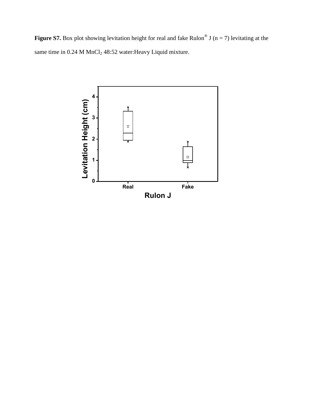**Figure S7.** Box plot showing levitation height for real and fake Rulon<sup>®</sup> J (n = 7) levitating at the same time in  $0.24$  M MnCl<sub>2</sub> 48:52 water: Heavy Liquid mixture.

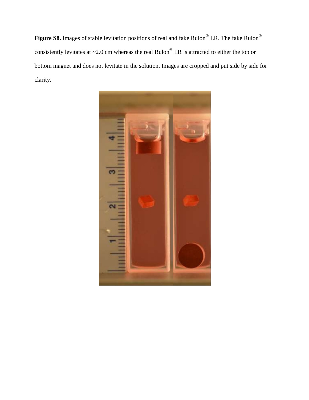**Figure S8.** Images of stable levitation positions of real and fake Rulon® LR. The fake Rulon® consistently levitates at  $\sim$ 2.0 cm whereas the real Rulon<sup>®</sup> LR is attracted to either the top or bottom magnet and does not levitate in the solution. Images are cropped and put side by side for clarity.